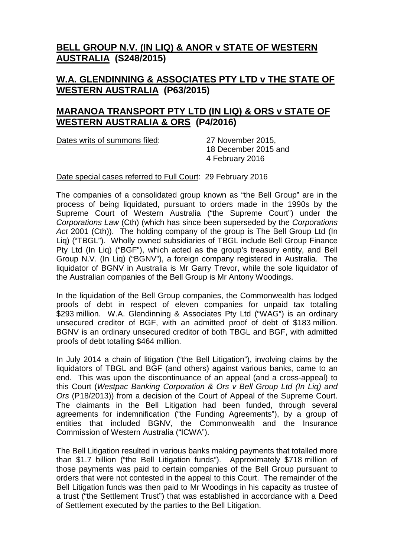## **BELL GROUP N.V. (IN LIQ) & ANOR v STATE OF WESTERN AUSTRALIA (S248/2015)**

## **W.A. GLENDINNING & ASSOCIATES PTY LTD v THE STATE OF WESTERN AUSTRALIA (P63/2015)**

## **MARANOA TRANSPORT PTY LTD (IN LIQ) & ORS v STATE OF WESTERN AUSTRALIA & ORS (P4/2016)**

Dates writs of summons filed: 27 November 2015,

18 December 2015 and 4 February 2016

Date special cases referred to Full Court: 29 February 2016

The companies of a consolidated group known as "the Bell Group" are in the process of being liquidated, pursuant to orders made in the 1990s by the Supreme Court of Western Australia ("the Supreme Court") under the *Corporations Law* (Cth) (which has since been superseded by the *Corporations Act* 2001 (Cth)). The holding company of the group is The Bell Group Ltd (In Liq) ("TBGL"). Wholly owned subsidiaries of TBGL include Bell Group Finance Pty Ltd (In Liq) ("BGF"), which acted as the group's treasury entity, and Bell Group N.V. (In Liq) ("BGNV"), a foreign company registered in Australia. The liquidator of BGNV in Australia is Mr Garry Trevor, while the sole liquidator of the Australian companies of the Bell Group is Mr Antony Woodings.

In the liquidation of the Bell Group companies, the Commonwealth has lodged proofs of debt in respect of eleven companies for unpaid tax totalling \$293 million. W.A. Glendinning & Associates Pty Ltd ("WAG") is an ordinary unsecured creditor of BGF, with an admitted proof of debt of \$183 million. BGNV is an ordinary unsecured creditor of both TBGL and BGF, with admitted proofs of debt totalling \$464 million.

In July 2014 a chain of litigation ("the Bell Litigation"), involving claims by the liquidators of TBGL and BGF (and others) against various banks, came to an end. This was upon the discontinuance of an appeal (and a cross-appeal) to this Court (*Westpac Banking Corporation & Ors v Bell Group Ltd (In Liq) and Ors* (P18/2013)) from a decision of the Court of Appeal of the Supreme Court. The claimants in the Bell Litigation had been funded, through several agreements for indemnification ("the Funding Agreements"), by a group of entities that included BGNV, the Commonwealth and the Insurance Commission of Western Australia ("ICWA").

The Bell Litigation resulted in various banks making payments that totalled more than \$1.7 billion ("the Bell Litigation funds"). Approximately \$718 million of those payments was paid to certain companies of the Bell Group pursuant to orders that were not contested in the appeal to this Court. The remainder of the Bell Litigation funds was then paid to Mr Woodings in his capacity as trustee of a trust ("the Settlement Trust") that was established in accordance with a Deed of Settlement executed by the parties to the Bell Litigation.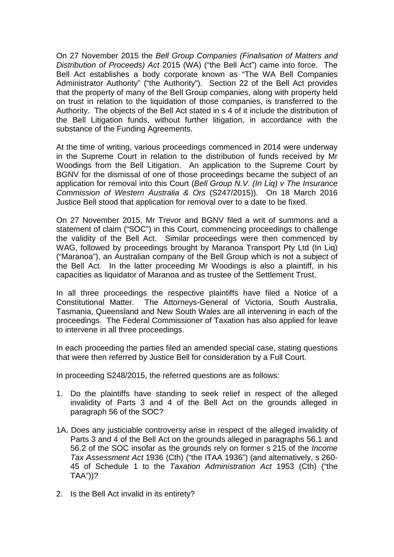On 27 November 2015 the *Bell Group Companies (Finalisation of Matters and Distribution of Proceeds) Act* 2015 (WA) ("the Bell Act") came into force. The Bell Act establishes a body corporate known as "The WA Bell Companies Administrator Authority" ("the Authority"). Section 22 of the Bell Act provides that the property of many of the Bell Group companies, along with property held on trust in relation to the liquidation of those companies, is transferred to the Authority. The objects of the Bell Act stated in s 4 of it include the distribution of the Bell Litigation funds, without further litigation, in accordance with the substance of the Funding Agreements.

At the time of writing, various proceedings commenced in 2014 were underway in the Supreme Court in relation to the distribution of funds received by Mr Woodings from the Bell Litigation. An application to the Supreme Court by BGNV for the dismissal of one of those proceedings became the subject of an application for removal into this Court (*Bell Group N.V. (In Liq) v The Insurance Commission of Western Australia & Ors* (S247/2015)). On 18 March 2016 Justice Bell stood that application for removal over to a date to be fixed.

On 27 November 2015, Mr Trevor and BGNV filed a writ of summons and a statement of claim ("SOC") in this Court, commencing proceedings to challenge the validity of the Bell Act. Similar proceedings were then commenced by WAG, followed by proceedings brought by Maranoa Transport Pty Ltd (In Liq) ("Maranoa"), an Australian company of the Bell Group which is not a subject of the Bell Act. In the latter proceeding Mr Woodings is also a plaintiff, in his capacities as liquidator of Maranoa and as trustee of the Settlement Trust.

In all three proceedings the respective plaintiffs have filed a Notice of a Constitutional Matter. The Attorneys-General of Victoria, South Australia, Tasmania, Queensland and New South Wales are all intervening in each of the proceedings. The Federal Commissioner of Taxation has also applied for leave to intervene in all three proceedings.

In each proceeding the parties filed an amended special case, stating questions that were then referred by Justice Bell for consideration by a Full Court.

In proceeding S248/2015, the referred questions are as follows:

- 1. Do the plaintiffs have standing to seek relief in respect of the alleged invalidity of Parts 3 and 4 of the Bell Act on the grounds alleged in paragraph 56 of the SOC?
- 1A. Does any justiciable controversy arise in respect of the alleged invalidity of Parts 3 and 4 of the Bell Act on the grounds alleged in paragraphs 56.1 and 56.2 of the SOC insofar as the grounds rely on former s 215 of the *Income Tax Assessment Act* 1936 (Cth) ("the ITAA 1936") (and alternatively, s 260- 45 of Schedule 1 to the *Taxation Administration Act* 1953 (Cth) ("the TAA"))?
- 2. Is the Bell Act invalid in its entirety?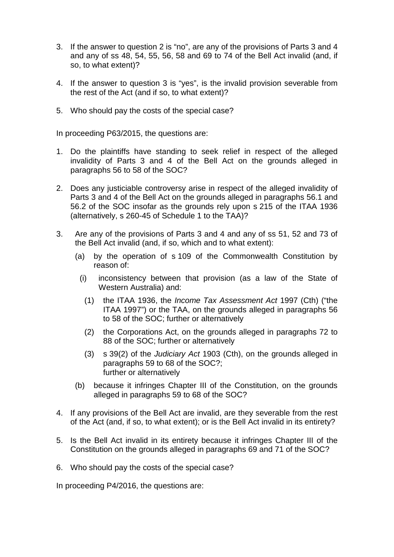- 3. If the answer to question 2 is "no", are any of the provisions of Parts 3 and 4 and any of ss 48, 54, 55, 56, 58 and 69 to 74 of the Bell Act invalid (and, if so, to what extent)?
- 4. If the answer to question 3 is "yes", is the invalid provision severable from the rest of the Act (and if so, to what extent)?
- 5. Who should pay the costs of the special case?

In proceeding P63/2015, the questions are:

- 1. Do the plaintiffs have standing to seek relief in respect of the alleged invalidity of Parts 3 and 4 of the Bell Act on the grounds alleged in paragraphs 56 to 58 of the SOC?
- 2. Does any justiciable controversy arise in respect of the alleged invalidity of Parts 3 and 4 of the Bell Act on the grounds alleged in paragraphs 56.1 and 56.2 of the SOC insofar as the grounds rely upon s 215 of the ITAA 1936 (alternatively, s 260-45 of Schedule 1 to the TAA)?
- 3. Are any of the provisions of Parts 3 and 4 and any of ss 51, 52 and 73 of the Bell Act invalid (and, if so, which and to what extent):
	- (a) by the operation of s 109 of the Commonwealth Constitution by reason of:
		- (i) inconsistency between that provision (as a law of the State of Western Australia) and:
			- (1) the ITAA 1936, the *Income Tax Assessment Act* 1997 (Cth) ("the ITAA 1997") or the TAA, on the grounds alleged in paragraphs 56 to 58 of the SOC; further or alternatively
			- (2) the Corporations Act, on the grounds alleged in paragraphs 72 to 88 of the SOC; further or alternatively
			- (3) s 39(2) of the *Judiciary Act* 1903 (Cth), on the grounds alleged in paragraphs 59 to 68 of the SOC?; further or alternatively
	- (b) because it infringes Chapter III of the Constitution, on the grounds alleged in paragraphs 59 to 68 of the SOC?
- 4. If any provisions of the Bell Act are invalid, are they severable from the rest of the Act (and, if so, to what extent); or is the Bell Act invalid in its entirety?
- 5. Is the Bell Act invalid in its entirety because it infringes Chapter III of the Constitution on the grounds alleged in paragraphs 69 and 71 of the SOC?
- 6. Who should pay the costs of the special case?

In proceeding P4/2016, the questions are: